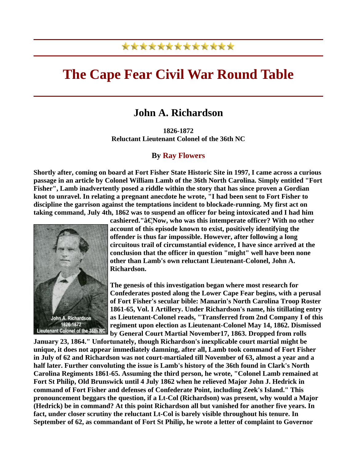## \*\*\*\*\*\*\*\*\*\*\*\*\*

## **The Cape Fear Civil War Round Table**

## **John A. Richardson**

**1826-1872 Reluctant Lieutenant Colonel of the 36th NC**

## **By Ray Flowers**

**Shortly after, coming on board at Fort Fisher State Historic Site in 1997, I came across a curious passage in an article by Colonel William Lamb of the 36th North Carolina. Simply entitled "Fort Fisher", Lamb inadvertently posed a riddle within the story that has since proven a Gordian knot to unravel. In relating a pregnant anecdote he wrote, "I had been sent to Fort Fisher to discipline the garrison against the temptations incident to blockade-running. My first act on taking command, July 4th, 1862 was to suspend an officer for being intoxicated and I had him** 



cashiered."**â€Now, who was this intemperate officer?** With no other **account of this episode known to exist, positively identifying the offender is thus far impossible. However, after following a long circuitous trail of circumstantial evidence, I have since arrived at the conclusion that the officer in question "might" well have been none other than Lamb's own reluctant Lieutenant-Colonel, John A. Richardson.** 

**The genesis of this investigation began where most research for Confederates posted along the Lower Cape Fear begins, with a perusal of Fort Fisher's secular bible: Manarin's North Carolina Troop Roster 1861-65, Vol. I Artillery. Under Richardson's name, his titillating entry as Lieutenant-Colonel reads, "Transferred from 2nd Company I of t his regiment upon election as Lieutenant-Colonel May 14, 1862. Dism issed by General Court Martial November17, 1863. Dropped from rolls** 

**January 23, 1864." Unfortunately, though Richardson's inexplicable court martial might be unique, it does not appear immediately damning, after all, Lamb took command of Fort Fisher in July of 62 and Richardson was not court-martialed till November of 63, almost a year and a half later. Further convoluting the issue is Lamb's history of the 36th found in Clark's North Carolina Regiments 1861-65. Assuming the third person, he wrote, "Colonel Lamb remained at Fort St Philip, Old Brunswick until 4 July 1862 when he relieved Major John J. Hedrick in command of Fort Fisher and defenses of Confederate Point, including Zeek's Island." This pronouncement beggars the question, if a Lt-Col (Richardson) was present, why would a Majo r (Hedrick) be in command? At this point Richardson all but vanished for another five years. In fact, under closer scrutiny the reluctant Lt-Col is barely visible throughout his tenure. In September of 62, as commandant of Fort St Philip, he wrote a letter of complaint to Governor**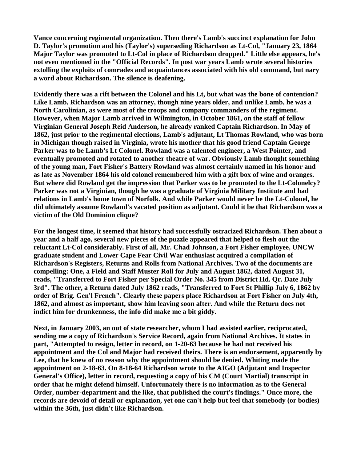**Vance concerning regimental organization. Then there's Lamb's succinct explanation for John D. Taylor's promotion and his (Taylor's) superseding Richardson as Lt-Col, "January 23, 1864 Major Taylor was promoted to Lt-Col in place of Richardson dropped." Little else appears, he's not even mentioned in the "Official Records". In post war years Lamb wrote several histories**  extolling the exploits of comrades and acquaintances associated with his old command, but nary **a word about Richardson. The silence is deafening.** 

**Evidently there was a rift between the Colonel and his Lt, but what was the bone of contention? Like Lamb, Richardson was an attorney, though nine years older, and unlike Lamb, he was a North Carolinian, as were most of the troops and company commanders of the regiment. However, when Major Lamb arrived in Wilmington, in October 1861, on the staff of fellow Virginian General Joseph Reid Anderson, he already ranked Captain Richardson. In May of 1862, just prior to the regimental elections, Lamb's adjutant, Lt Thomas Rowland, who was born in Michigan though raised in Virginia, wrote his mother that his good friend Captain George Parker was to be Lamb's Lt Colonel. Rowland was a talented engineer, a West Pointer, and eventually promoted and rotated to another theatre of war. Obviously Lamb thought something of the young man, Fort Fisher's Battery Rowland was almost certainly named in his honor and as late as November 1864 his old colonel remembered him with a gift box of wine and oranges. But where did Rowland get the impression that Parker was to be promoted to the Lt-Colonelcy? Parker was not a Virginian, though he was a graduate of Virginia Military Institute and had relations in Lamb's home town of Norfolk. And while Parker would never be the Lt-Colonel, he did ultimately assume Rowland's vacated position as adjutant. Could it be that Richardson was a victim of the Old Dominion clique?** 

**For the longest time, it seemed that history had successfully ostracized Richardson. Then about a year and a half ago, several new pieces of the puzzle appeared that helped to flesh out the reluctant Lt-Col considerably. First of all, Mr. Chad Johnson, a Fort Fisher employee, UNCW graduate student and Lower Cape Fear Civil War enthusiast acquired a compilation of Richardson's Registers, Returns and Rolls from National Archives. Two of the documents are compelling: One, a Field and Staff Muster Roll for July and August 1862, dated August 31, reads, "Transferred to Fort Fisher per Special Order No. 345 from District Hd. Qr. Date July 3rd". The other, a Return dated July 1862 reads, "Transferred to Fort St Phillip July 6, 1862 by order of Brig. Gen'l French". Clearly these papers place Richardson at Fort Fisher on July 4th, 1862, and almost as important, show him leaving soon after. And while the Return does not indict him for drunkenness, the info did make me a bit giddy.** 

**Next, in January 2003, an out of state researcher, whom I had assisted earlier, reciprocated, sending me a copy of Richardson's Service Record, again from National Archives. It states in part, "Attempted to resign, letter in record, on 1-20-63 because he had not received his appointment and the Col and Major had received theirs. There is an endorsement, apparently by Lee, that he knew of no reason why the appointment should be denied. Whiting made the appointment on 2-18-63. On 8-18-64 Richardson wrote to the AIGO (Adjutant and Inspector General's Office), letter in record, requesting a copy of his CM (Court Martial) transcript in order that he might defend himself. Unfortunately there is no information as to the General Order, number-department and the like, that published the court's findings." Once more, the records are devoid of detail or explanation, yet one can't help but feel that somebody (or bodies) within the 36th, just didn't like Richardson.**